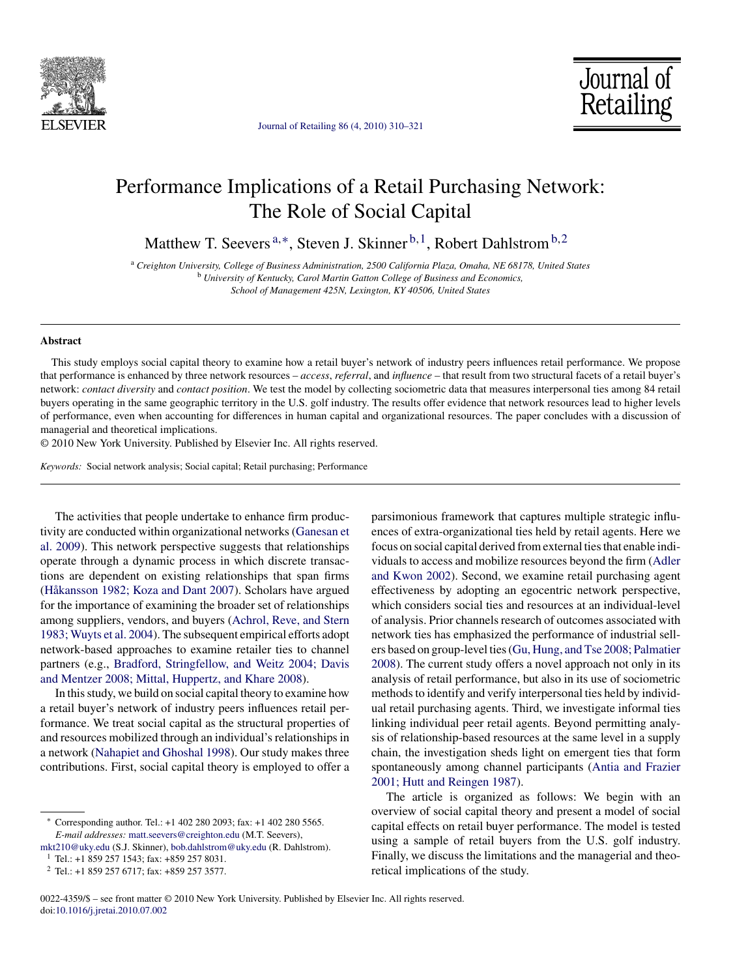

[Journal of Retailing 86 \(4, 2010\) 310–321](dx.doi.org/10.1016/j.jretai.2010.07.002)

Journal of Retailing

## Performance Implications of a Retail Purchasing Network: The Role of Social Capital

Matthew T. Seevers<sup>a,\*</sup>, Steven J. Skinner<sup>b,1</sup>, Robert Dahlstrom<sup>b,2</sup>

<sup>a</sup> *Creighton University, College of Business Administration, 2500 California Plaza, Omaha, NE 68178, United States* <sup>b</sup> *University of Kentucky, Carol Martin Gatton College of Business and Economics, School of Management 425N, Lexington, KY 40506, United States*

#### **Abstract**

This study employs social capital theory to examine how a retail buyer's network of industry peers influences retail performance. We propose that performance is enhanced by three network resources – *access*, *referral*, and *influence* – that result from two structural facets of a retail buyer's network: *contact diversity* and *contact position*. We test the model by collecting sociometric data that measures interpersonal ties among 84 retail buyers operating in the same geographic territory in the U.S. golf industry. The results offer evidence that network resources lead to higher levels of performance, even when accounting for differences in human capital and organizational resources. The paper concludes with a discussion of managerial and theoretical implications.

© 2010 New York University. Published by Elsevier Inc. All rights reserved.

*Keywords:* Social network analysis; Social capital; Retail purchasing; Performance

The activities that people undertake to enhance firm productivity are conducted within organizational networks [\(Ganesan et](#page--1-0) [al. 2009\).](#page--1-0) This network perspective suggests that relationships operate through a dynamic process in which discrete transactions are dependent on existing relationships that span firms [\(Håkansson 1982; Koza and Dant 2007\).](#page--1-0) Scholars have argued for the importance of examining the broader set of relationships among suppliers, vendors, and buyers [\(Achrol, Reve, and Stern](#page--1-0) [1983; Wuyts et al. 2004\).](#page--1-0) The subsequent empirical efforts adopt network-based approaches to examine retailer ties to channel partners (e.g., [Bradford, Stringfellow, and Weitz 2004; Davis](#page--1-0) [and Mentzer 2008; Mittal, Huppertz, and Khare 2008\).](#page--1-0)

In this study, we build on social capital theory to examine how a retail buyer's network of industry peers influences retail performance. We treat social capital as the structural properties of and resources mobilized through an individual's relationships in a network [\(Nahapiet and Ghoshal 1998\).](#page--1-0) Our study makes three contributions. First, social capital theory is employed to offer a parsimonious framework that captures multiple strategic influences of extra-organizational ties held by retail agents. Here we focus on social capital derived from external ties that enable individuals to access and mobilize resources beyond the firm [\(Adler](#page--1-0) [and Kwon 2002\).](#page--1-0) Second, we examine retail purchasing agent effectiveness by adopting an egocentric network perspective, which considers social ties and resources at an individual-level of analysis. Prior channels research of outcomes associated with network ties has emphasized the performance of industrial sellers based on group-level ties [\(Gu, Hung, and Tse 2008; Palmatier](#page--1-0) [2008\).](#page--1-0) The current study offers a novel approach not only in its analysis of retail performance, but also in its use of sociometric methods to identify and verify interpersonal ties held by individual retail purchasing agents. Third, we investigate informal ties linking individual peer retail agents. Beyond permitting analysis of relationship-based resources at the same level in a supply chain, the investigation sheds light on emergent ties that form spontaneously among channel participants ([Antia and Frazier](#page--1-0) [2001; Hutt and Reingen 1987\).](#page--1-0)

The article is organized as follows: We begin with an overview of social capital theory and present a model of social capital effects on retail buyer performance. The model is tested using a sample of retail buyers from the U.S. golf industry. Finally, we discuss the limitations and the managerial and theoretical implications of the study.

<sup>∗</sup> Corresponding author. Tel.: +1 402 280 2093; fax: +1 402 280 5565. *E-mail addresses:* [matt.seevers@creighton.edu](mailto:matt.seevers@creighton.edu) (M.T. Seevers),

[mkt210@uky.edu](mailto:mkt210@uky.edu) (S.J. Skinner), [bob.dahlstrom@uky.edu](mailto:bob.dahlstrom@uky.edu) (R. Dahlstrom).

 $1$  Tel.: +1 859 257 1543; fax: +859 257 8031.

<sup>2</sup> Tel.: +1 859 257 6717; fax: +859 257 3577.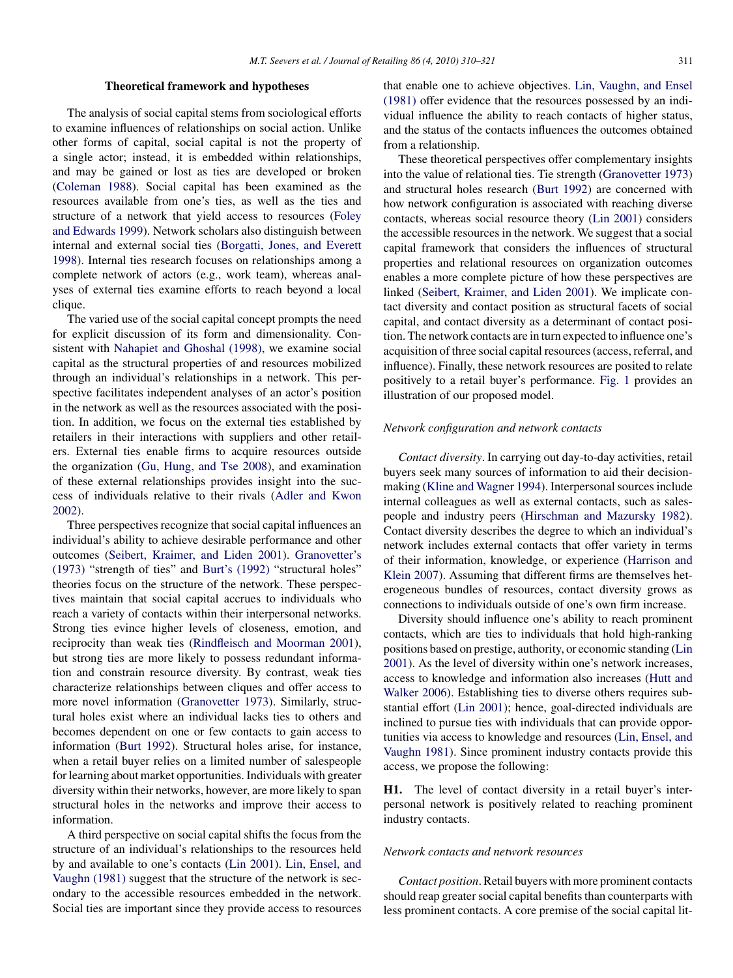#### **Theoretical framework and hypotheses**

The analysis of social capital stems from sociological efforts to examine influences of relationships on social action. Unlike other forms of capital, social capital is not the property of a single actor; instead, it is embedded within relationships, and may be gained or lost as ties are developed or broken ([Coleman 1988\).](#page--1-0) Social capital has been examined as the resources available from one's ties, as well as the ties and structure of a network that yield access to resources [\(Foley](#page--1-0) [and Edwards 1999\).](#page--1-0) Network scholars also distinguish between internal and external social ties [\(Borgatti, Jones, and Everett](#page--1-0) [1998\).](#page--1-0) Internal ties research focuses on relationships among a complete network of actors (e.g., work team), whereas analyses of external ties examine efforts to reach beyond a local clique.

The varied use of the social capital concept prompts the need for explicit discussion of its form and dimensionality. Consistent with [Nahapiet and Ghoshal \(1998\),](#page--1-0) we examine social capital as the structural properties of and resources mobilized through an individual's relationships in a network. This perspective facilitates independent analyses of an actor's position in the network as well as the resources associated with the position. In addition, we focus on the external ties established by retailers in their interactions with suppliers and other retailers. External ties enable firms to acquire resources outside the organization ([Gu, Hung, and Tse 2008\),](#page--1-0) and examination of these external relationships provides insight into the success of individuals relative to their rivals [\(Adler and Kwon](#page--1-0) [2002\).](#page--1-0)

Three perspectives recognize that social capital influences an individual's ability to achieve desirable performance and other outcomes ([Seibert, Kraimer, and Liden 2001\).](#page--1-0) [Granovetter's](#page--1-0) [\(1973\)](#page--1-0) "strength of ties" and [Burt's \(1992\)](#page--1-0) "structural holes" theories focus on the structure of the network. These perspectives maintain that social capital accrues to individuals who reach a variety of contacts within their interpersonal networks. Strong ties evince higher levels of closeness, emotion, and reciprocity than weak ties ([Rindfleisch and Moorman 2001\),](#page--1-0) but strong ties are more likely to possess redundant information and constrain resource diversity. By contrast, weak ties characterize relationships between cliques and offer access to more novel information [\(Granovetter 1973\).](#page--1-0) Similarly, structural holes exist where an individual lacks ties to others and becomes dependent on one or few contacts to gain access to information [\(Burt 1992\).](#page--1-0) Structural holes arise, for instance, when a retail buyer relies on a limited number of salespeople for learning about market opportunities. Individuals with greater diversity within their networks, however, are more likely to span structural holes in the networks and improve their access to information.

A third perspective on social capital shifts the focus from the structure of an individual's relationships to the resources held by and available to one's contacts [\(Lin 2001\).](#page--1-0) [Lin, Ensel, and](#page--1-0) [Vaughn \(1981\)](#page--1-0) suggest that the structure of the network is secondary to the accessible resources embedded in the network. Social ties are important since they provide access to resources

that enable one to achieve objectives. [Lin, Vaughn, and Ensel](#page--1-0) [\(1981\)](#page--1-0) offer evidence that the resources possessed by an individual influence the ability to reach contacts of higher status, and the status of the contacts influences the outcomes obtained from a relationship.

These theoretical perspectives offer complementary insights into the value of relational ties. Tie strength ([Granovetter 1973\)](#page--1-0) and structural holes research [\(Burt 1992\)](#page--1-0) are concerned with how network configuration is associated with reaching diverse contacts, whereas social resource theory [\(Lin 2001\)](#page--1-0) considers the accessible resources in the network. We suggest that a social capital framework that considers the influences of structural properties and relational resources on organization outcomes enables a more complete picture of how these perspectives are linked ([Seibert, Kraimer, and Liden 2001\).](#page--1-0) We implicate contact diversity and contact position as structural facets of social capital, and contact diversity as a determinant of contact position. The network contacts are in turn expected to influence one's acquisition of three social capital resources (access, referral, and influence). Finally, these network resources are posited to relate positively to a retail buyer's performance. [Fig. 1](#page--1-0) provides an illustration of our proposed model.

#### *Network configuration and network contacts*

*Contact diversity*. In carrying out day-to-day activities, retail buyers seek many sources of information to aid their decisionmaking ([Kline and Wagner 1994\).](#page--1-0) Interpersonal sources include internal colleagues as well as external contacts, such as salespeople and industry peers [\(Hirschman and Mazursky 1982\).](#page--1-0) Contact diversity describes the degree to which an individual's network includes external contacts that offer variety in terms of their information, knowledge, or experience ([Harrison and](#page--1-0) [Klein 2007\).](#page--1-0) Assuming that different firms are themselves heterogeneous bundles of resources, contact diversity grows as connections to individuals outside of one's own firm increase.

Diversity should influence one's ability to reach prominent contacts, which are ties to individuals that hold high-ranking positions based on prestige, authority, or economic standing ([Lin](#page--1-0) [2001\).](#page--1-0) As the level of diversity within one's network increases, access to knowledge and information also increases [\(Hutt and](#page--1-0) [Walker 2006\).](#page--1-0) Establishing ties to diverse others requires substantial effort [\(Lin 2001\);](#page--1-0) hence, goal-directed individuals are inclined to pursue ties with individuals that can provide opportunities via access to knowledge and resources [\(Lin, Ensel, and](#page--1-0) [Vaughn 1981\).](#page--1-0) Since prominent industry contacts provide this access, we propose the following:

**H1.** The level of contact diversity in a retail buyer's interpersonal network is positively related to reaching prominent industry contacts.

### *Network contacts and network resources*

*Contact position*. Retail buyers with more prominent contacts should reap greater social capital benefits than counterparts with less prominent contacts. A core premise of the social capital lit-